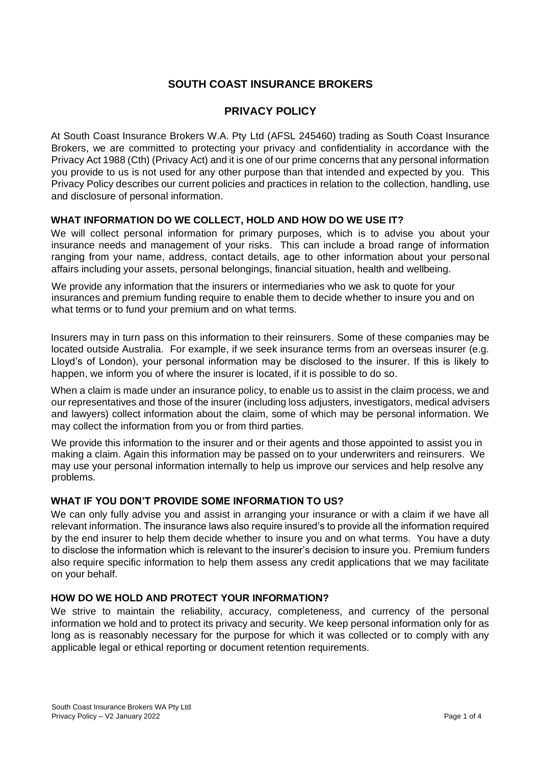# **SOUTH COAST INSURANCE BROKERS**

# **PRIVACY POLICY**

At South Coast Insurance Brokers W.A. Pty Ltd (AFSL 245460) trading as South Coast Insurance Brokers, we are committed to protecting your privacy and confidentiality in accordance with the Privacy Act 1988 (Cth) (Privacy Act) and it is one of our prime concerns that any personal information you provide to us is not used for any other purpose than that intended and expected by you. This Privacy Policy describes our current policies and practices in relation to the collection, handling, use and disclosure of personal information.

## **WHAT INFORMATION DO WE COLLECT, HOLD AND HOW DO WE USE IT?**

We will collect personal information for primary purposes, which is to advise you about your insurance needs and management of your risks. This can include a broad range of information ranging from your name, address, contact details, age to other information about your personal affairs including your assets, personal belongings, financial situation, health and wellbeing.

We provide any information that the insurers or intermediaries who we ask to quote for your insurances and premium funding require to enable them to decide whether to insure you and on what terms or to fund your premium and on what terms.

Insurers may in turn pass on this information to their reinsurers. Some of these companies may be located outside Australia. For example, if we seek insurance terms from an overseas insurer (e.g. Lloyd's of London), your personal information may be disclosed to the insurer. If this is likely to happen, we inform you of where the insurer is located, if it is possible to do so.

When a claim is made under an insurance policy, to enable us to assist in the claim process, we and our representatives and those of the insurer (including loss adjusters, investigators, medical advisers and lawyers) collect information about the claim, some of which may be personal information. We may collect the information from you or from third parties.

We provide this information to the insurer and or their agents and those appointed to assist you in making a claim. Again this information may be passed on to your underwriters and reinsurers. We may use your personal information internally to help us improve our services and help resolve any problems.

## **WHAT IF YOU DON'T PROVIDE SOME INFORMATION TO US?**

We can only fully advise you and assist in arranging your insurance or with a claim if we have all relevant information. The insurance laws also require insured's to provide all the information required by the end insurer to help them decide whether to insure you and on what terms. You have a duty to disclose the information which is relevant to the insurer's decision to insure you. Premium funders also require specific information to help them assess any credit applications that we may facilitate on your behalf.

## **HOW DO WE HOLD AND PROTECT YOUR INFORMATION?**

We strive to maintain the reliability, accuracy, completeness, and currency of the personal information we hold and to protect its privacy and security. We keep personal information only for as long as is reasonably necessary for the purpose for which it was collected or to comply with any applicable legal or ethical reporting or document retention requirements.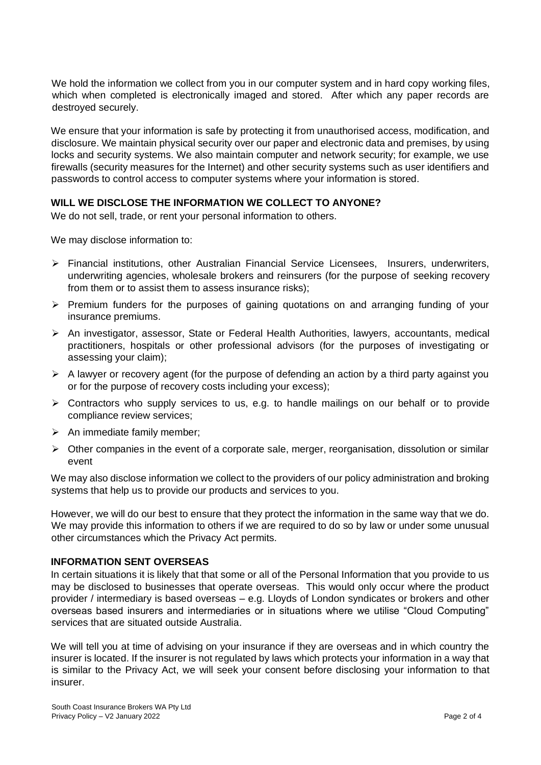We hold the information we collect from you in our computer system and in hard copy working files, which when completed is electronically imaged and stored. After which any paper records are destroyed securely.

We ensure that your information is safe by protecting it from unauthorised access, modification, and disclosure. We maintain physical security over our paper and electronic data and premises, by using locks and security systems. We also maintain computer and network security; for example, we use firewalls (security measures for the Internet) and other security systems such as user identifiers and passwords to control access to computer systems where your information is stored.

## **WILL WE DISCLOSE THE INFORMATION WE COLLECT TO ANYONE?**

We do not sell, trade, or rent your personal information to others.

We may disclose information to:

- ➢ Financial institutions, other Australian Financial Service Licensees, Insurers, underwriters, underwriting agencies, wholesale brokers and reinsurers (for the purpose of seeking recovery from them or to assist them to assess insurance risks);
- $\triangleright$  Premium funders for the purposes of gaining quotations on and arranging funding of your insurance premiums.
- ➢ An investigator, assessor, State or Federal Health Authorities, lawyers, accountants, medical practitioners, hospitals or other professional advisors (for the purposes of investigating or assessing your claim);
- $\triangleright$  A lawyer or recovery agent (for the purpose of defending an action by a third party against you or for the purpose of recovery costs including your excess);
- $\triangleright$  Contractors who supply services to us, e.g. to handle mailings on our behalf or to provide compliance review services;
- $\triangleright$  An immediate family member;
- $\triangleright$  Other companies in the event of a corporate sale, merger, reorganisation, dissolution or similar event

We may also disclose information we collect to the providers of our policy administration and broking systems that help us to provide our products and services to you.

However, we will do our best to ensure that they protect the information in the same way that we do. We may provide this information to others if we are required to do so by law or under some unusual other circumstances which the Privacy Act permits.

## **INFORMATION SENT OVERSEAS**

In certain situations it is likely that that some or all of the Personal Information that you provide to us may be disclosed to businesses that operate overseas. This would only occur where the product provider / intermediary is based overseas – e.g. Lloyds of London syndicates or brokers and other overseas based insurers and intermediaries or in situations where we utilise "Cloud Computing" services that are situated outside Australia.

We will tell you at time of advising on your insurance if they are overseas and in which country the insurer is located. If the insurer is not regulated by laws which protects your information in a way that is similar to the Privacy Act, we will seek your consent before disclosing your information to that insurer.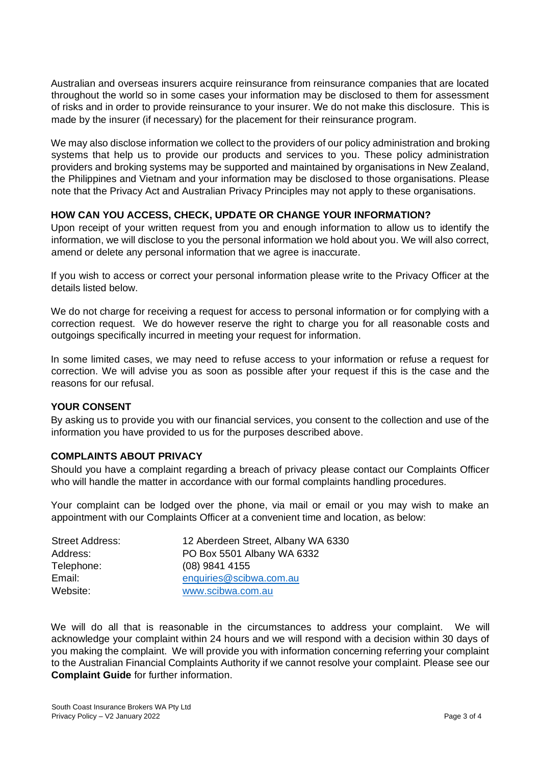Australian and overseas insurers acquire reinsurance from reinsurance companies that are located throughout the world so in some cases your information may be disclosed to them for assessment of risks and in order to provide reinsurance to your insurer. We do not make this disclosure. This is made by the insurer (if necessary) for the placement for their reinsurance program.

We may also disclose information we collect to the providers of our policy administration and broking systems that help us to provide our products and services to you. These policy administration providers and broking systems may be supported and maintained by organisations in New Zealand, the Philippines and Vietnam and your information may be disclosed to those organisations. Please note that the Privacy Act and Australian Privacy Principles may not apply to these organisations.

## **HOW CAN YOU ACCESS, CHECK, UPDATE OR CHANGE YOUR INFORMATION?**

Upon receipt of your written request from you and enough information to allow us to identify the information, we will disclose to you the personal information we hold about you. We will also correct, amend or delete any personal information that we agree is inaccurate.

If you wish to access or correct your personal information please write to the Privacy Officer at the details listed below.

We do not charge for receiving a request for access to personal information or for complying with a correction request. We do however reserve the right to charge you for all reasonable costs and outgoings specifically incurred in meeting your request for information.

In some limited cases, we may need to refuse access to your information or refuse a request for correction. We will advise you as soon as possible after your request if this is the case and the reasons for our refusal.

## **YOUR CONSENT**

By asking us to provide you with our financial services, you consent to the collection and use of the information you have provided to us for the purposes described above.

## **COMPLAINTS ABOUT PRIVACY**

Should you have a complaint regarding a breach of privacy please contact our Complaints Officer who will handle the matter in accordance with our formal complaints handling procedures.

Your complaint can be lodged over the phone, via mail or email or you may wish to make an appointment with our Complaints Officer at a convenient time and location, as below:

| <b>Street Address:</b> | 12 Aberdeen Street, Albany WA 6330 |
|------------------------|------------------------------------|
| Address:               | PO Box 5501 Albany WA 6332         |
| Telephone:             | $(08)$ 9841 4155                   |
| Email:                 | enquiries@scibwa.com.au            |
| Website:               | www.scibwa.com.au                  |

We will do all that is reasonable in the circumstances to address your complaint. We will acknowledge your complaint within 24 hours and we will respond with a decision within 30 days of you making the complaint. We will provide you with information concerning referring your complaint to the Australian Financial Complaints Authority if we cannot resolve your complaint. Please see our **Complaint Guide** for further information.